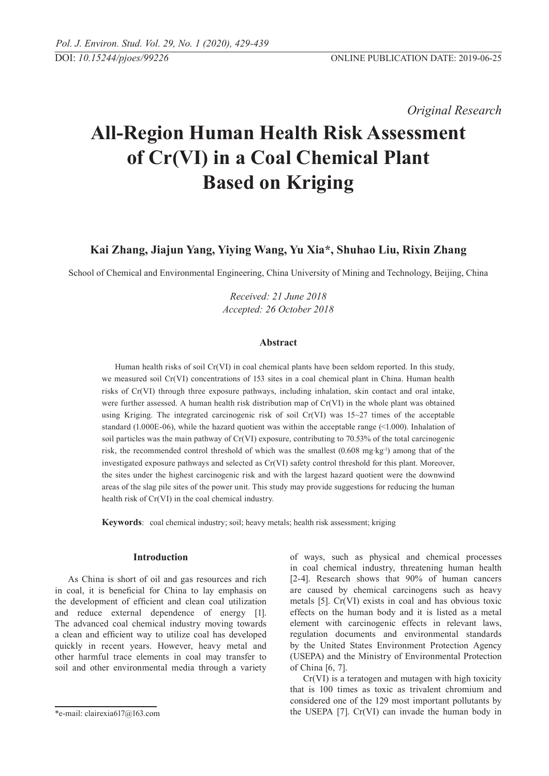*Original Research* 

# **All-Region Human Health Risk Assessment of Cr(VI) in a Coal Chemical Plant Based on Kriging**

**Kai Zhang, Jiajun Yang, Yiying Wang, Yu Xia\*, Shuhao Liu, Rixin Zhang**

School of Chemical and Environmental Engineering, China University of Mining and Technology, Beijing, China

*Received: 21 June 2018 Accepted: 26 October 2018*

### **Abstract**

Human health risks of soil Cr(VI) in coal chemical plants have been seldom reported. In this study, we measured soil Cr(VI) concentrations of 153 sites in a coal chemical plant in China. Human health risks of Cr(VI) through three exposure pathways, including inhalation, skin contact and oral intake, were further assessed. A human health risk distribution map of Cr(VI) in the whole plant was obtained using Kriging. The integrated carcinogenic risk of soil Cr(VI) was 15~27 times of the acceptable standard (1.000E-06), while the hazard quotient was within the acceptable range (<1.000). Inhalation of soil particles was the main pathway of Cr(VI) exposure, contributing to 70.53% of the total carcinogenic risk, the recommended control threshold of which was the smallest (0.608 mg·kg<sup>-1</sup>) among that of the investigated exposure pathways and selected as Cr(VI) safety control threshold for this plant. Moreover, the sites under the highest carcinogenic risk and with the largest hazard quotient were the downwind areas of the slag pile sites of the power unit. This study may provide suggestions for reducing the human health risk of Cr(VI) in the coal chemical industry.

**Keywords**: coal chemical industry; soil; heavy metals; health risk assessment; kriging

### **Introduction**

As China is short of oil and gas resources and rich in coal, it is beneficial for China to lay emphasis on the development of efficient and clean coal utilization and reduce external dependence of energy [1]. The advanced coal chemical industry moving towards a clean and efficient way to utilize coal has developed quickly in recent years. However, heavy metal and other harmful trace elements in coal may transfer to soil and other environmental media through a variety of ways, such as physical and chemical processes in coal chemical industry, threatening human health [2-4]. Research shows that 90% of human cancers are caused by chemical carcinogens such as heavy metals [5]. Cr(VI) exists in coal and has obvious toxic effects on the human body and it is listed as a metal element with carcinogenic effects in relevant laws, regulation documents and environmental standards by the United States Environment Protection Agency (USEPA) and the Ministry of Environmental Protection of China [6, 7].

Cr(VI) is a teratogen and mutagen with high toxicity that is 100 times as toxic as trivalent chromium and considered one of the 129 most important pollutants by the USEPA [7]. Cr(VI) can invade the human body in

<sup>\*</sup>e-mail: clairexia617@163.com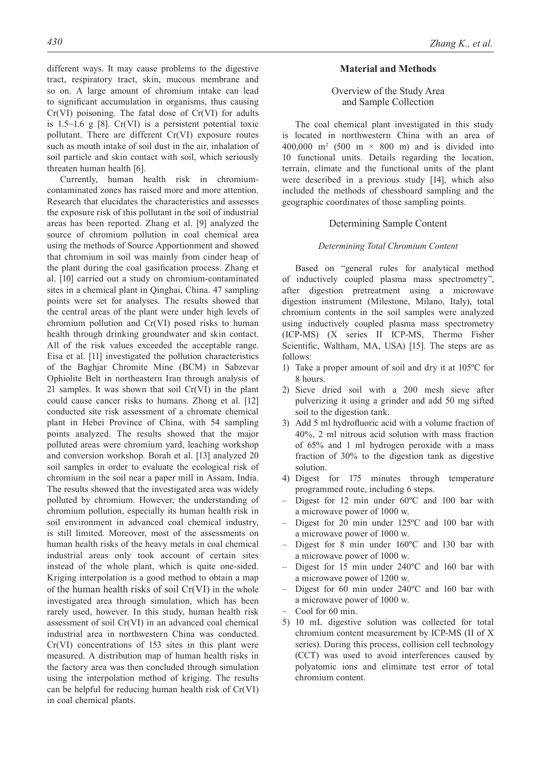different ways. It may cause problems to the digestive tract, respiratory tract, skin, mucous membrane and so on. A large amount of chromium intake can lead to significant accumulation in organisms, thus causing  $Cr(VI)$  poisoning. The fatal dose of  $Cr(VI)$  for adults is  $1.5 \sim 1.6$  g [8]. Cr(VI) is a persistent potential toxic pollutant. There are different Cr(VI) exposure routes such as mouth intake of soil dust in the air, inhalation of soil particle and skin contact with soil, which seriously threaten human health [6].

Currently, human health risk in chromiumcontaminated zones has raised more and more attention. Research that elucidates the characteristics and assesses the exposure risk of this pollutant in the soil of industrial areas has been reported. Zhang et al. [9] analyzed the source of chromium pollution in coal chemical area using the methods of Source Apportionment and showed that chromium in soil was mainly from cinder heap of the plant during the coal gasification process. Zhang et al. [10] carried out a study on chromium-contaminated sites in a chemical plant in Qinghai, China. 47 sampling points were set for analyses. The results showed that the central areas of the plant were under high levels of chromium pollution and Cr(VI) posed risks to human health through drinking groundwater and skin contact. All of the risk values exceeded the acceptable range. Eisa et al. [11] investigated the pollution characteristics of the Baghjar Chromite Mine (BCM) in Sabzevar Ophiolite Belt in northeastern Iran through analysis of 21 samples. It was shown that soil Cr(VI) in the plant could cause cancer risks to humans. Zhong et al. [12] conducted site risk assessment of a chromate chemical plant in Hebei Province of China, with 54 sampling points analyzed. The results showed that the major polluted areas were chromium yard, leaching workshop and conversion workshop. Borah et al. [13] analyzed 20 soil samples in order to evaluate the ecological risk of chromium in the soil near a paper mill in Assam, India. The results showed that the investigated area was widely polluted by chromium. However, the understanding of chromium pollution, especially its human health risk in soil environment in advanced coal chemical industry, is still limited. Moreover, most of the assessments on human health risks of the heavy metals in coal chemical industrial areas only took account of certain sites instead of the whole plant, which is quite one-sided. Kriging interpolation is a good method to obtain a map of the human health risks of soil Cr(VI) in the whole investigated area through simulation, which has been rarely used, however. In this study, human health risk assessment of soil Cr(VI) in an advanced coal chemical industrial area in northwestern China was conducted. Cr(VI) concentrations of 153 sites in this plant were measured. A distribution map of human health risks in the factory area was then concluded through simulation using the interpolation method of kriging. The results can be helpful for reducing human health risk of Cr(VI) in coal chemical plants.

## *430 Zhang K., et al.*

## **Material and Methods**

## Overview of the Study Area and Sample Collection

The coal chemical plant investigated in this study is located in northwestern China with an area of 400,000 m<sup>2</sup> (500 m  $\times$  800 m) and is divided into 10 functional units. Details regarding the location, terrain, climate and the functional units of the plant were described in a previous study [14], which also included the methods of chessboard sampling and the geographic coordinates of those sampling points.

#### Determining Sample Content

## *Determining Total Chromium Content*

Based on "general rules for analytical method of inductively coupled plasma mass spectrometry", after digestion pretreatment using a microwave digestion instrument (Milestone, Milano, Italy), total chromium contents in the soil samples were analyzed using inductively coupled plasma mass spectrometry (ICP-MS) (X series II ICP-MS, Thermo Fisher Scientific, Waltham, MA, USA) [15]. The steps are as follows:

- 1) Take a proper amount of soil and dry it at 105ºC for 8 hours.
- 2) Sieve dried soil with a 200 mesh sieve after pulverizing it using a grinder and add 50 mg sifted soil to the digestion tank.
- 3) Add 5 ml hydrofluoric acid with a volume fraction of 40%, 2 ml nitrous acid solution with mass fraction of 65% and 1 ml hydrogen peroxide with a mass fraction of 30% to the digestion tank as digestive solution.
- 4) Digest for 175 minutes through temperature programmed route, including 6 steps.
- Digest for 12 min under 60ºC and 100 bar with a microwave power of 1000 w.
- Digest for 20 min under 125ºC and 100 bar with a microwave power of 1000 w.
- Digest for 8 min under 160ºC and 130 bar with a microwave power of 1000 w.
- Digest for 15 min under 240ºC and 160 bar with a microwave power of 1200 w.
- Digest for 60 min under 240ºC and 160 bar with a microwave power of 1000 w.
- Cool for 60 min.
- 5) 10 mL digestive solution was collected for total chromium content measurement by ICP-MS (II of X series). During this process, collision cell technology (CCT) was used to avoid interferences caused by polyatomic ions and eliminate test error of total chromium content.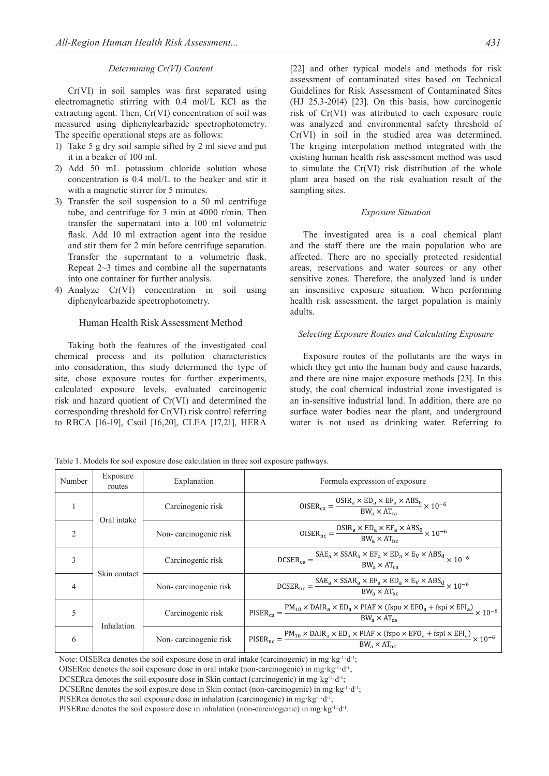#### *Determining Cr(VI) Content*

Cr(VI) in soil samples was first separated using electromagnetic stirring with 0.4 mol/L KCl as the extracting agent. Then, Cr(VI) concentration of soil was measured using diphenylcarbazide spectrophotometry. The specific operational steps are as follows:

- 1) Take 5 g dry soil sample sifted by 2 ml sieve and put it in a beaker of 100 ml.
- 2) Add 50 mL potassium chloride solution whose concentration is 0.4 mol/L to the beaker and stir it with a magnetic stirrer for 5 minutes.
- 3) Transfer the soil suspension to a 50 ml centrifuge tube, and centrifuge for 3 min at 4000 r/min. Then transfer the supernatant into a 100 ml volumetric flask. Add 10 ml extraction agent into the residue and stir them for 2 min before centrifuge separation. Transfer the supernatant to a volumetric flask. Repeat 2~3 times and combine all the supernatants into one container for further analysis.
- 4) Analyze Cr(VI) concentration in soil using diphenylcarbazide spectrophotometry.

#### Human Health Risk Assessment Method

Taking both the features of the investigated coal chemical process and its pollution characteristics into consideration, this study determined the type of site, chose exposure routes for further experiments, calculated exposure levels, evaluated carcinogenic risk and hazard quotient of Cr(VI) and determined the corresponding threshold for Cr(VI) risk control referring to RBCA [16-19], Csoil [16,20], CLEA [17,21], HERA

[22] and other typical models and methods for risk assessment of contaminated sites based on Technical Guidelines for Risk Assessment of Contaminated Sites (HJ 25.3-2014) [23]. On this basis, how carcinogenic risk of Cr(VI) was attributed to each exposure route was analyzed and environmental safety threshold of Cr(VI) in soil in the studied area was determined. The kriging interpolation method integrated with the existing human health risk assessment method was used to simulate the Cr(VI) risk distribution of the whole plant area based on the risk evaluation result of the sampling sites.

#### *Exposure Situation*

The investigated area is a coal chemical plant and the staff there are the main population who are affected. There are no specially protected residential areas, reservations and water sources or any other sensitive zones. Therefore, the analyzed land is under an insensitive exposure situation. When performing health risk assessment, the target population is mainly adults.

#### *Selecting Exposure Routes and Calculating Exposure*

Exposure routes of the pollutants are the ways in which they get into the human body and cause hazards, and there are nine major exposure methods [23]. In this study, the coal chemical industrial zone investigated is an in-sensitive industrial land. In addition, there are no surface water bodies near the plant, and underground water is not used as drinking water. Referring to

Table 1. Models for soil exposure dose calculation in three soil exposure pathways.

| Number         | Exposure<br>routes | Explanation           | Formula expression of exposure                                                                                                                                                                                                                                                                 |  |
|----------------|--------------------|-----------------------|------------------------------------------------------------------------------------------------------------------------------------------------------------------------------------------------------------------------------------------------------------------------------------------------|--|
|                | Oral intake        | Carcinogenic risk     | $OISER_{ca} = \frac{OSIR_a \times ED_a \times EF_a \times ABS_0}{BW_a \times AT_a} \times 10^{-6}$                                                                                                                                                                                             |  |
| $\overline{2}$ |                    | Non-carcinogenic risk | $OISER_{nc} = \frac{OSIR_a \times ED_a \times EF_a \times ABS_0}{BW_a \times AT_{ac}} \times 10^{-6}$                                                                                                                                                                                          |  |
| 3              | Skin contact       | Carcinogenic risk     | $DCSER_{ca} = \frac{SAE_a \times SSAR_a \times EF_a \times ED_a \times E_V \times ABS_d}{BW_a \times AT_{ca}} \times 10^{-6}$                                                                                                                                                                  |  |
| $\overline{4}$ |                    | Non-carcinogenic risk | $\text{DCSER}_{\text{nc}} = \frac{\text{SAE}_{\text{a}} \times \text{SSAR}_{\text{a}} \times \text{EF}_{\text{a}} \times \text{ED}_{\text{a}} \times \text{E}_{\text{V}} \times \text{ABS}_{\text{d}}}{\text{BW}_{\text{a}} \times \text{AT}_{\text{nc}}} \times 10^{-6}$                      |  |
| 5              | Inhalation         | Carcinogenic risk     | $\text{PISER}_{\text{ca}} = \frac{\text{PM}_{10} \times \text{DAIR}_a \times \text{ED}_a \times \text{PIAF} \times (\text{fspo} \times \text{EFO}_a + \text{fspi} \times \text{EFI}_a)}{\text{max} \times 10^{-6}} \times 10^{-6}$<br>$BW_2 \times AT_{ca}$                                    |  |
| 6              |                    | Non-carcinogenic risk | $\text{PISER}_{\text{nc}} = \frac{\text{PM}_{10} \times \text{DAIR}_{\text{a}} \times \text{ED}_{\text{a}} \times \text{PIAF} \times (\text{fspo} \times \text{EFO}_{\text{a}} + \text{fspi} \times \text{EFI}_{\text{a}})}{\text{BW}_{\text{a}} \times \text{AT}_{\text{nc}}} \times 10^{-6}$ |  |

Note: OISERca denotes the soil exposure dose in oral intake (carcinogenic) in mg·kg<sup>-1</sup>·d<sup>-1</sup>; OISERnc denotes the soil exposure dose in oral intake (non-carcinogenic) in mg·kg<sup>-1</sup>·d<sup>-1</sup>; DCSERca denotes the soil exposure dose in Skin contact (carcinogenic) in mg·kg<sup>-1</sup>·d<sup>-1</sup>; DCSERnc denotes the soil exposure dose in Skin contact (non-carcinogenic) in mg·kg<sup>-1</sup>·d<sup>-1</sup>; PISERca denotes the soil exposure dose in inhalation (carcinogenic) in mg·kg<sup>-1</sup>·d<sup>-1</sup>; PISERnc denotes the soil exposure dose in inhalation (non-carcinogenic) in mg·kg<sup>-1</sup>·d<sup>-1</sup>.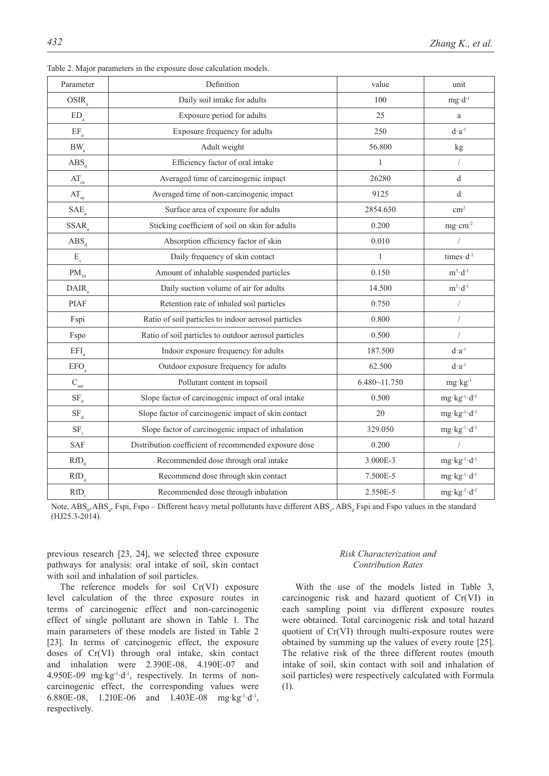| Parameter                   | Definition                                            | value            | unit                            |
|-----------------------------|-------------------------------------------------------|------------------|---------------------------------|
| OSIR <sub>s</sub>           | Daily soil intake for adults                          | 100              | $mg \cdot d^{-1}$               |
| $\mathrm{ED}_\mathrm{a}$    | Exposure period for adults                            | 25               | a                               |
| $EF_a$                      | Exposure frequency for adults                         | 250              | $d \cdot a^{-1}$                |
| $BW_a$                      | Adult weight                                          | 56.800           | kg                              |
| $\text{ABS}_{0}$            | Efficiency factor of oral intake                      | 1                | $\sqrt{2}$                      |
| $AT_{ca}$                   | Averaged time of carcinogenic impact                  | 26280            | d                               |
| $\text{AT}_\text{nc}$       | Averaged time of non-carcinogenic impact              | 9125             | d                               |
| SAE                         | Surface area of exposure for adults                   | 2854.630         | $\rm cm^2$                      |
| $SSAR$ <sub>a</sub>         | Sticking coefficient of soil on skin for adults       | 0.200            | $mg \cdot cm^{-2}$              |
| $\overline{ABS}_{d}$        | Absorption efficiency factor of skin                  | 0.010            |                                 |
| $E_{v}$                     | Daily frequency of skin contact                       | $\mathbf{1}$     | times $-d^{-1}$                 |
| $\mathrm{PM}_{10}$          | Amount of inhalable suspended particles               | 0.150            | $m^3 \cdot d^{-1}$              |
| DAIR.                       | Daily suction volume of air for adults                | 14.500           | $m^3 \cdot d^{-1}$              |
| <b>PIAF</b>                 | Retention rate of inhaled soil particles              | 0.750            | $\sqrt{2}$                      |
| Fspi                        | Ratio of soil particles to indoor aerosol particles   | 0.800            |                                 |
| Fspo                        | Ratio of soil particles to outdoor aerosol particles  | 0.500            | $\sqrt{ }$                      |
| EFI <sub>a</sub>            | Indoor exposure frequency for adults                  | 187.500          | $d \cdot a^{-1}$                |
| $\mathrm{EFO}_{\mathrm{a}}$ | Outdoor exposure frequency for adults                 | 62.500           | $d \cdot a^{-1}$                |
| $\mathbf{C}_{\mathrm{sur}}$ | Pollutant content in topsoil                          | $6.480 - 11.750$ | $mg \cdot kg^{-1}$              |
| SF <sub>0</sub>             | Slope factor of carcinogenic impact of oral intake    | 0.500            | $mg \cdot kg^{-1} \cdot d^{-1}$ |
| $SF_d$                      | Slope factor of carcinogenic impact of skin contact   | 20               | $mg \cdot kg^{-1} \cdot d^{-1}$ |
| $SF_i$                      | Slope factor of carcinogenic impact of inhalation     | 329.050          | $mg \cdot kg^{-1} \cdot d^{-1}$ |
| <b>SAF</b>                  | Distribution coefficient of recommended exposure dose | 0.200            |                                 |
| $RfD_0$                     | Recommended dose through oral intake                  | 3.000E-3         | $mg \cdot kg^{-1} \cdot d^{-1}$ |
| $RfD_d$                     | Recommend dose through skin contact                   | 7.500E-5         | $mg \cdot kg^{-1} \cdot d^{-1}$ |
| $RfD_i$                     | Recommended dose through inhalation                   | 2.550E-5         | $mg \cdot kg^{-1} \cdot d^{-1}$ |

Table 2. Major parameters in the exposure dose calculation models.

Note,  $ABS_{0}$ , ABS<sub>a</sub>, Fspi, Fspo – Different heavy metal pollutants have different  $ABS_{0}$ , ABS<sub>a</sub> Fspi and Fspo values in the standard (HJ25.3-2014).

previous research [23, 24], we selected three exposure pathways for analysis: oral intake of soil, skin contact with soil and inhalation of soil particles.

The reference models for soil Cr(VI) exposure level calculation of the three exposure routes in terms of carcinogenic effect and non-carcinogenic effect of single pollutant are shown in Table 1. The main parameters of these models are listed in Table 2 [23]. In terms of carcinogenic effect, the exposure doses of Cr(VI) through oral intake, skin contact and inhalation were 2.390E-08, 4.190E-07 and 4.950E-09 mg·kg<sup>-1</sup>·d<sup>-1</sup>, respectively. In terms of noncarcinogenic effect, the corresponding values were 6.880E-08, 1.210E-06 and 1.403E-08 mg·kg-1·d-1, respectively.

## *Risk Characterization and Contribution Rates*

With the use of the models listed in Table 3, carcinogenic risk and hazard quotient of Cr(VI) in each sampling point via different exposure routes were obtained. Total carcinogenic risk and total hazard quotient of Cr(VI) through multi-exposure routes were obtained by summing up the values of every route [25]. The relative risk of the three different routes (mouth intake of soil, skin contact with soil and inhalation of soil particles) were respectively calculated with Formula (1).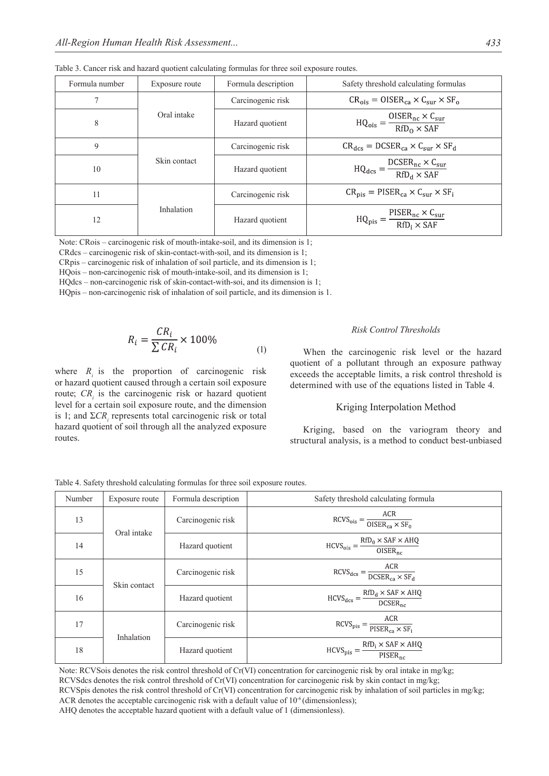| Formula number | Exposure route | Formula description | Safety threshold calculating formulas                                                       |
|----------------|----------------|---------------------|---------------------------------------------------------------------------------------------|
| 7              |                | Carcinogenic risk   | $CR_{\text{ois}} = OISER_{\text{ca}} \times C_{\text{sur}} \times SF_{o}$                   |
| 8              | Oral intake    | Hazard quotient     | $HQ_{\text{ois}} = \frac{OISER_{\text{nc}} \times C_{\text{sur}}}{RfD_{\Omega} \times SAF}$ |
| 9              | Skin contact   | Carcinogenic risk   | $CR_{dcs} = DCSER_{ca} \times C_{sur} \times SF_{d}$                                        |
| 10             |                | Hazard quotient     | $HQ_{dcs} = \frac{DCSER_{nc} \times C_{sur}}{RfD_d \times SAF}$                             |
| 11             |                | Carcinogenic risk   | $CR_{\text{pis}} = PISER_{\text{ca}} \times C_{\text{sur}} \times SF_{\text{i}}$            |
| 12             | Inhalation     | Hazard quotient     | $HQ_{pis} = \frac{PISER_{nc} \times C_{sur}}{RfD_i \times SAF}$                             |

Table 3. Cancer risk and hazard quotient calculating formulas for three soil exposure routes.

Note: CRois – carcinogenic risk of mouth-intake-soil, and its dimension is 1;

CRdcs – carcinogenic risk of skin-contact-with-soil, and its dimension is 1;

CRpis – carcinogenic risk of inhalation of soil particle, and its dimension is 1;

HQois – non-carcinogenic risk of mouth-intake-soil, and its dimension is 1;

HQdcs – non-carcinogenic risk of skin-contact-with-soi, and its dimension is 1;

HQpis – non-carcinogenic risk of inhalation of soil particle, and its dimension is 1.

$$
R_i = \frac{CR_i}{\sum CR_i} \times 100\%
$$
 (1)

where  $R_i$  is the proportion of carcinogenic risk or hazard quotient caused through a certain soil exposure route;  $CR<sub>i</sub>$  is the carcinogenic risk or hazard quotient level for a certain soil exposure route, and the dimension is 1; and  $\Sigma C R$ <sub>*i*</sub> represents total carcinogenic risk or total hazard quotient of soil through all the analyzed exposure routes.

#### *Risk Control Thresholds*

When the carcinogenic risk level or the hazard quotient of a pollutant through an exposure pathway exceeds the acceptable limits, a risk control threshold is determined with use of the equations listed in Table 4.

## Kriging Interpolation Method

Kriging, based on the variogram theory and structural analysis, is a method to conduct best-unbiased

| Number | Exposure route | Formula description<br>Safety threshold calculating formula |                                                                                                                |
|--------|----------------|-------------------------------------------------------------|----------------------------------------------------------------------------------------------------------------|
| 13     | Oral intake    | Carcinogenic risk                                           | $RCVS_{\text{ois}} = \frac{ACR}{OISER_{\text{ca}} \times SF_0}$                                                |
| 14     |                | Hazard quotient                                             | $HCVS_{ois} = \frac{RfD_0 \times SAF \times AHQ}{OISER_{nc}}$                                                  |
| 15     | Skin contact   | Carcinogenic risk                                           | $RCVS_{\text{dcs}} = \frac{ACR}{DCSER_{\text{ca}} \times SF_{\text{d}}}$                                       |
| 16     |                | Hazard quotient                                             | $HCVS_{dcs} = \frac{RfD_d \times SAF \times AHQ}{DCSER_{nc}}$                                                  |
| 17     | Inhalation     | Carcinogenic risk                                           | $RCVS_{pis} = \frac{ACR}{PISER_{ca} \times SF_i}$                                                              |
| 18     |                | Hazard quotient                                             | $\text{HCVS}_{\text{pis}} = \frac{\text{RfD}_i \times \text{SAF} \times \text{AHQ}}{\text{PISER}_{\text{nc}}}$ |

Table 4. Safety threshold calculating formulas for three soil exposure routes.

Note: RCVSois denotes the risk control threshold of Cr(VI) concentration for carcinogenic risk by oral intake in mg/kg;

RCVSdcs denotes the risk control threshold of Cr(VI) concentration for carcinogenic risk by skin contact in mg/kg;

RCVSpis denotes the risk control threshold of Cr(VI) concentration for carcinogenic risk by inhalation of soil particles in mg/kg;

ACR denotes the acceptable carcinogenic risk with a default value of  $10^{-6}$  (dimensionless);

AHQ denotes the acceptable hazard quotient with a default value of 1 (dimensionless).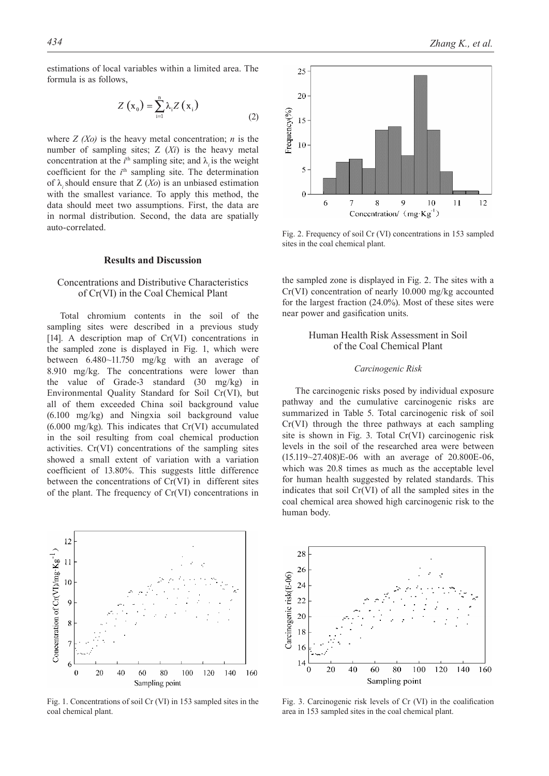estimations of local variables within a limited area. The formula is as follows,

$$
Z\left(\mathbf{x}_{0}\right) = \sum_{i=1}^{n} \lambda_{i} Z\left(\mathbf{x}_{i}\right)
$$
\n<sup>(2)</sup>

where  $Z(No)$  is the heavy metal concentration; *n* is the number of sampling sites; Z (*Xi*) is the heavy metal concentration at the  $i^{\text{th}}$  sampling site; and  $\lambda_i$  is the weight coefficient for the  $i<sup>th</sup>$  sampling site. The determination of  $\lambda$  should ensure that Z (*Xo*) is an unbiased estimation with the smallest variance. To apply this method, the data should meet two assumptions. First, the data are in normal distribution. Second, the data are spatially auto-correlated.

## **Results and Discussion**

## Concentrations and Distributive Characteristics of Cr(VI) in the Coal Chemical Plant

Total chromium contents in the soil of the sampling sites were described in a previous study [14]. A description map of Cr(VI) concentrations in the sampled zone is displayed in Fig. 1, which were between 6.480~11.750 mg/kg with an average of 8.910 mg/kg. The concentrations were lower than the value of Grade-3 standard (30 mg/kg) in Environmental Quality Standard for Soil Cr(VI), but all of them exceeded China soil background value (6.100 mg/kg) and Ningxia soil background value (6.000 mg/kg). This indicates that Cr(VI) accumulated in the soil resulting from coal chemical production activities. Cr(VI) concentrations of the sampling sites showed a small extent of variation with a variation coefficient of 13.80%. This suggests little difference between the concentrations of Cr(VI) in different sites of the plant. The frequency of Cr(VI) concentrations in



Fig. 1. Concentrations of soil Cr (VI) in 153 sampled sites in the coal chemical plant.



Fig. 2. Frequency of soil Cr (VI) concentrations in 153 sampled sites in the coal chemical plant.

the sampled zone is displayed in Fig. 2. The sites with a Cr(VI) concentration of nearly 10.000 mg/kg accounted for the largest fraction (24.0%). Most of these sites were near power and gasification units.

## Human Health Risk Assessment in Soil of the Coal Chemical Plant

#### *Carcinogenic Risk*

The carcinogenic risks posed by individual exposure pathway and the cumulative carcinogenic risks are summarized in Table 5. Total carcinogenic risk of soil Cr(VI) through the three pathways at each sampling site is shown in Fig. 3. Total Cr(VI) carcinogenic risk levels in the soil of the researched area were between (15.119~27.408)E-06 with an average of 20.800E-06, which was 20.8 times as much as the acceptable level for human health suggested by related standards. This indicates that soil Cr(VI) of all the sampled sites in the coal chemical area showed high carcinogenic risk to the human body.



Fig. 3. Carcinogenic risk levels of Cr (VI) in the coalification area in 153 sampled sites in the coal chemical plant.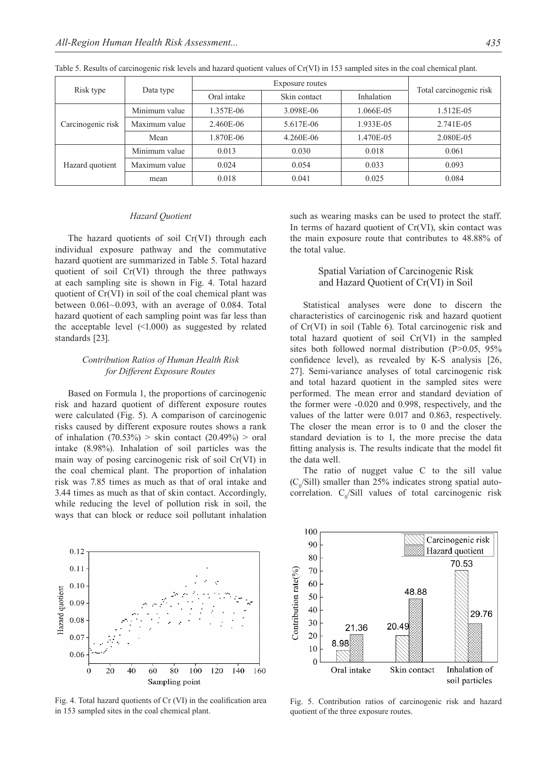| Risk type         |                        |             |                        |            |                         |  |
|-------------------|------------------------|-------------|------------------------|------------|-------------------------|--|
|                   | Data type              | Oral intake | Skin contact           | Inhalation | Total carcinogenic risk |  |
|                   | Minimum value          | 1.357E-06   | 3.098E-06              | 1.066E-05  | 1.512E-05               |  |
| Carcinogenic risk | Maximum value          | 2.460E-06   | 5.617E-06<br>1.933E-05 |            | 2.741E-05               |  |
|                   | Mean                   | 1.870E-06   | 4.260E-06              | 1.470E-05  | 2.080E-05               |  |
|                   | Minimum value          | 0.013       | 0.030                  | 0.018      | 0.061                   |  |
| Hazard quotient   | Maximum value<br>0.024 |             | 0.054                  | 0.033      | 0.093                   |  |
|                   | mean                   | 0.018       | 0.041                  | 0.025      | 0.084                   |  |

Table 5. Results of carcinogenic risk levels and hazard quotient values of Cr(VI) in 153 sampled sites in the coal chemical plant.

#### *Hazard Quotient*

The hazard quotients of soil Cr(VI) through each individual exposure pathway and the commutative hazard quotient are summarized in Table 5. Total hazard quotient of soil Cr(VI) through the three pathways at each sampling site is shown in Fig. 4. Total hazard quotient of Cr(VI) in soil of the coal chemical plant was between 0.061~0.093, with an average of 0.084. Total hazard quotient of each sampling point was far less than the acceptable level (<1.000) as suggested by related standards [23].

## *Contribution Ratios of Human Health Risk for Different Exposure Routes*

Based on Formula 1, the proportions of carcinogenic risk and hazard quotient of different exposure routes were calculated (Fig. 5). A comparison of carcinogenic risks caused by different exposure routes shows a rank of inhalation  $(70.53\%)$  > skin contact  $(20.49\%)$  > oral intake (8.98%). Inhalation of soil particles was the main way of posing carcinogenic risk of soil Cr(VI) in the coal chemical plant. The proportion of inhalation risk was 7.85 times as much as that of oral intake and 3.44 times as much as that of skin contact. Accordingly, while reducing the level of pollution risk in soil, the ways that can block or reduce soil pollutant inhalation



Fig. 4. Total hazard quotients of Cr (VI) in the coalification area in 153 sampled sites in the coal chemical plant.

such as wearing masks can be used to protect the staff. In terms of hazard quotient of Cr(VI), skin contact was the main exposure route that contributes to 48.88% of the total value.

## Spatial Variation of Carcinogenic Risk and Hazard Quotient of Cr(VI) in Soil

Statistical analyses were done to discern the characteristics of carcinogenic risk and hazard quotient of Cr(VI) in soil (Table 6). Total carcinogenic risk and total hazard quotient of soil Cr(VI) in the sampled sites both followed normal distribution (P>0.05, 95%) confidence level), as revealed by K-S analysis [26, 27]. Semi-variance analyses of total carcinogenic risk and total hazard quotient in the sampled sites were performed. The mean error and standard deviation of the former were -0.020 and 0.998, respectively, and the values of the latter were 0.017 and 0.863, respectively. The closer the mean error is to 0 and the closer the standard deviation is to 1, the more precise the data fitting analysis is. The results indicate that the model fit the data well.

The ratio of nugget value C to the sill value  $(C_0/Sill)$  smaller than 25% indicates strong spatial autocorrelation.  $C_0/Sill$  values of total carcinogenic risk



Fig. 5. Contribution ratios of carcinogenic risk and hazard quotient of the three exposure routes.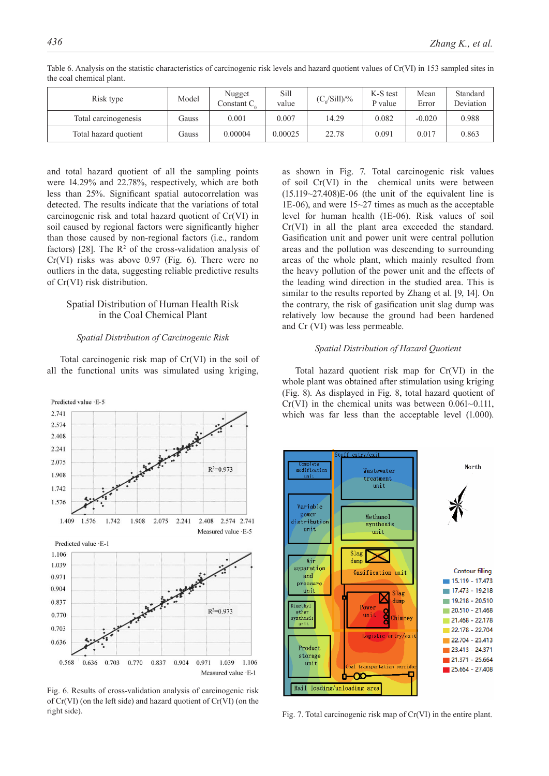| Risk type             | Model | Nugget<br>Constant $C_{0}$ | Sill<br>value | $(C_o/Sill)/\%$ | K-S test<br>P value | Mean<br>Error | Standard<br>Deviation |
|-----------------------|-------|----------------------------|---------------|-----------------|---------------------|---------------|-----------------------|
| Total carcinogenesis  | Gauss | 0.001                      | 0.007         | 14.29           | 0.082               | $-0.020$      | 0.988                 |
| Total hazard quotient | Gauss | 0.00004                    | 0.00025       | 22.78           | 0.091               | 0.017         | 0.863                 |

Table 6. Analysis on the statistic characteristics of carcinogenic risk levels and hazard quotient values of Cr(VI) in 153 sampled sites in the coal chemical plant.

and total hazard quotient of all the sampling points were 14.29% and 22.78%, respectively, which are both less than 25%. Significant spatial autocorrelation was detected. The results indicate that the variations of total carcinogenic risk and total hazard quotient of Cr(VI) in soil caused by regional factors were significantly higher than those caused by non-regional factors (i.e., random factors) [28]. The  $\mathbb{R}^2$  of the cross-validation analysis of Cr(VI) risks was above 0.97 (Fig. 6). There were no outliers in the data, suggesting reliable predictive results of Cr(VI) risk distribution.

## Spatial Distribution of Human Health Risk in the Coal Chemical Plant

#### *Spatial Distribution of Carcinogenic Risk*

Total carcinogenic risk map of Cr(VI) in the soil of all the functional units was simulated using kriging,



Fig. 6. Results of cross-validation analysis of carcinogenic risk of Cr(VI) (on the left side) and hazard quotient of Cr(VI) (on the right side). Fig. 7. Total carcinogenic risk map of Cr(VI) in the entire plant.

as shown in Fig. 7. Total carcinogenic risk values of soil Cr(VI) in the chemical units were between  $(15.119~27.408)E-06$  (the unit of the equivalent line is 1E-06), and were 15~27 times as much as the acceptable level for human health (1E-06). Risk values of soil Cr(VI) in all the plant area exceeded the standard. Gasification unit and power unit were central pollution areas and the pollution was descending to surrounding areas of the whole plant, which mainly resulted from the heavy pollution of the power unit and the effects of the leading wind direction in the studied area. This is similar to the results reported by Zhang et al. [9, 14]. On the contrary, the risk of gasification unit slag dump was relatively low because the ground had been hardened and Cr (VI) was less permeable.

#### *Spatial Distribution of Hazard Quotient*

Total hazard quotient risk map for Cr(VI) in the whole plant was obtained after stimulation using kriging (Fig. 8). As displayed in Fig. 8, total hazard quotient of  $Cr(VI)$  in the chemical units was between 0.061~0.111, which was far less than the acceptable level (1.000).

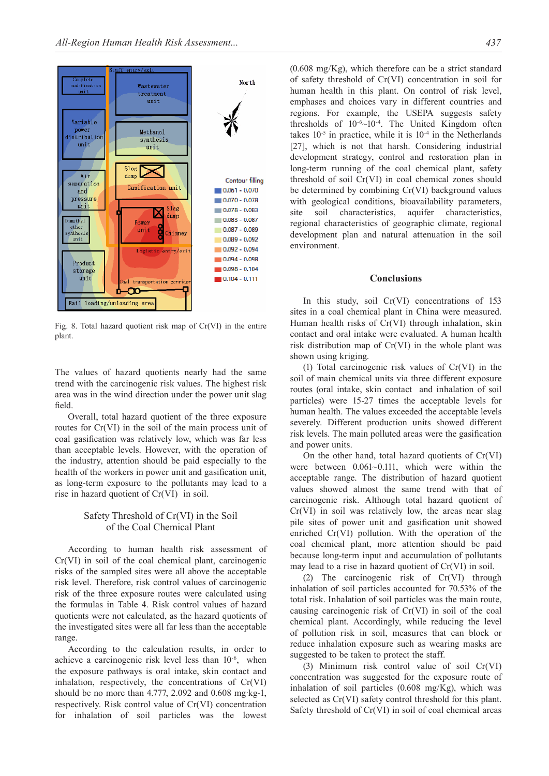

Fig. 8. Total hazard quotient risk map of Cr(VI) in the entire plant.

The values of hazard quotients nearly had the same trend with the carcinogenic risk values. The highest risk area was in the wind direction under the power unit slag field.

Overall, total hazard quotient of the three exposure routes for Cr(VI) in the soil of the main process unit of coal gasification was relatively low, which was far less than acceptable levels. However, with the operation of the industry, attention should be paid especially to the health of the workers in power unit and gasification unit, as long-term exposure to the pollutants may lead to a rise in hazard quotient of Cr(VI) in soil.

### Safety Threshold of Cr(VI) in the Soil of the Coal Chemical Plant

According to human health risk assessment of Cr(VI) in soil of the coal chemical plant, carcinogenic risks of the sampled sites were all above the acceptable risk level. Therefore, risk control values of carcinogenic risk of the three exposure routes were calculated using the formulas in Table 4. Risk control values of hazard quotients were not calculated, as the hazard quotients of the investigated sites were all far less than the acceptable range.

According to the calculation results, in order to achieve a carcinogenic risk level less than  $10^{-6}$ , when the exposure pathways is oral intake, skin contact and inhalation, respectively, the concentrations of Cr(VI) should be no more than 4.777, 2.092 and 0.608 mg·kg-1, respectively. Risk control value of Cr(VI) concentration for inhalation of soil particles was the lowest

 $(0.608 \text{ mg/Kg})$ , which therefore can be a strict standard of safety threshold of Cr(VI) concentration in soil for human health in this plant. On control of risk level, emphases and choices vary in different countries and regions. For example, the USEPA suggests safety thresholds of 10-6~10-4. The United Kingdom often takes  $10^{-5}$  in practice, while it is  $10^{-4}$  in the Netherlands [27], which is not that harsh. Considering industrial development strategy, control and restoration plan in long-term running of the coal chemical plant, safety threshold of soil Cr(VI) in coal chemical zones should be determined by combining Cr(VI) background values with geological conditions, bioavailability parameters, site soil characteristics, aquifer characteristics, regional characteristics of geographic climate, regional development plan and natural attenuation in the soil environment.

#### **Conclusions**

In this study, soil Cr(VI) concentrations of 153 sites in a coal chemical plant in China were measured. Human health risks of Cr(VI) through inhalation, skin contact and oral intake were evaluated. A human health risk distribution map of Cr(VI) in the whole plant was shown using kriging.

(1) Total carcinogenic risk values of Cr(VI) in the soil of main chemical units via three different exposure routes (oral intake, skin contact and inhalation of soil particles) were 15-27 times the acceptable levels for human health. The values exceeded the acceptable levels severely. Different production units showed different risk levels. The main polluted areas were the gasification and power units.

On the other hand, total hazard quotients of Cr(VI) were between 0.061~0.111, which were within the acceptable range. The distribution of hazard quotient values showed almost the same trend with that of carcinogenic risk. Although total hazard quotient of Cr(VI) in soil was relatively low, the areas near slag pile sites of power unit and gasification unit showed enriched Cr(VI) pollution. With the operation of the coal chemical plant, more attention should be paid because long-term input and accumulation of pollutants may lead to a rise in hazard quotient of Cr(VI) in soil.

(2) The carcinogenic risk of Cr(VI) through inhalation of soil particles accounted for 70.53% of the total risk. Inhalation of soil particles was the main route, causing carcinogenic risk of Cr(VI) in soil of the coal chemical plant. Accordingly, while reducing the level of pollution risk in soil, measures that can block or reduce inhalation exposure such as wearing masks are suggested to be taken to protect the staff.

(3) Minimum risk control value of soil Cr(VI) concentration was suggested for the exposure route of inhalation of soil particles  $(0.608 \text{ mg/Kg})$ , which was selected as Cr(VI) safety control threshold for this plant. Safety threshold of Cr(VI) in soil of coal chemical areas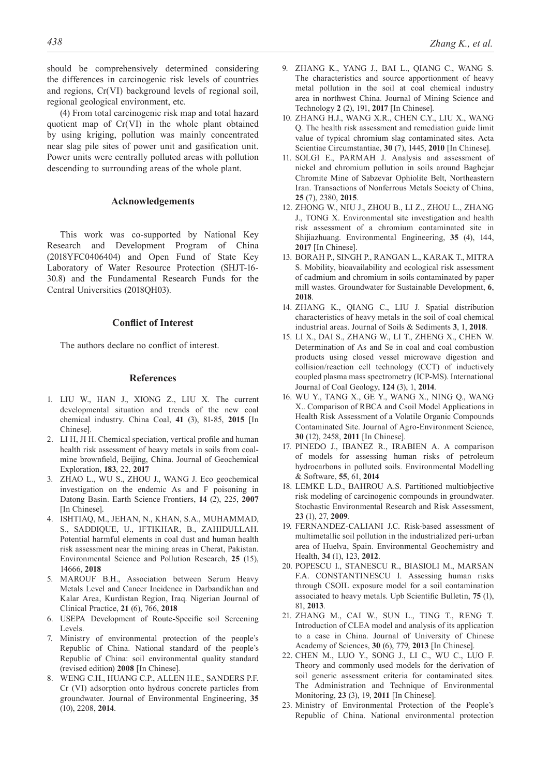should be comprehensively determined considering the differences in carcinogenic risk levels of countries and regions, Cr(VI) background levels of regional soil, regional geological environment, etc.

(4) From total carcinogenic risk map and total hazard quotient map of Cr(VI) in the whole plant obtained by using kriging, pollution was mainly concentrated near slag pile sites of power unit and gasification unit. Power units were centrally polluted areas with pollution descending to surrounding areas of the whole plant.

#### **Acknowledgements**

This work was co-supported by National Key Research and Development Program of China (2018YFC0406404) and Open Fund of State Key Laboratory of Water Resource Protection (SHJT-16- 30.8) and the Fundamental Research Funds for the Central Universities (2018QH03).

#### **Conflict of Interest**

The authors declare no conflict of interest.

## **References**

- 1. LIU W., HAN J., XIONG Z., LIU X. The current developmental situation and trends of the new coal chemical industry. China Coal, **41** (3), 81-85, **2015** [In Chinese].
- 2. LI H, JI H. Chemical speciation, vertical profile and human health risk assessment of heavy metals in soils from coalmine brownfield, Beijing, China. Journal of Geochemical Exploration, **183**, 22, **2017**
- 3. ZHAO L., WU S., ZHOU J., WANG J. Eco geochemical investigation on the endemic As and F poisoning in Datong Basin. Earth Science Frontiers, **14** (2), 225, **2007** [In Chinese].
- 4. ISHTIAQ, M., JEHAN, N., KHAN, S.A., MUHAMMAD, S., SADDIQUE, U., IFTIKHAR, B., ZAHIDULLAH. Potential harmful elements in coal dust and human health risk assessment near the mining areas in Cherat, Pakistan. Environmental Science and Pollution Research, **25** (15), 14666, **2018**
- 5. MAROUF B.H., Association between Serum Heavy Metals Level and Cancer Incidence in Darbandikhan and Kalar Area, Kurdistan Region, Iraq. Nigerian Journal of Clinical Practice, **21** (6), 766, **2018**
- 6. USEPA Development of Route-Specific soil Screening Levels.
- 7. Ministry of environmental protection of the people's Republic of China. National standard of the people's Republic of China: soil environmental quality standard (revised edition) **2008** [In Chinese].
- 8. WENG C.H., HUANG C.P., ALLEN H.E., SANDERS P.F. Cr (VI) adsorption onto hydrous concrete particles from groundwater. Journal of Environmental Engineering, **35**  (10), 2208, **2014**.
- 9. ZHANG K., YANG J., BAI L., QIANG C., WANG S. The characteristics and source apportionment of heavy metal pollution in the soil at coal chemical industry area in northwest China. Journal of Mining Science and Technology **2** (2), 191, **2017** [In Chinese].
- 10. ZHANG H.J., WANG X.R., CHEN C.Y., LIU X., WANG Q. The health risk assessment and remediation guide limit value of typical chromium slag contaminated sites. Acta Scientiae Circumstantiae, **30** (7), 1445, **2010** [In Chinese].
- 11. SOLGI E., PARMAH J. Analysis and assessment of nickel and chromium pollution in soils around Baghejar Chromite Mine of Sabzevar Ophiolite Belt, Northeastern Iran. Transactions of Nonferrous Metals Society of China, **25** (7), 2380, **2015**.
- 12. ZHONG W., NIU J., ZHOU B., LI Z., ZHOU L., ZHANG J., TONG X. Environmental site investigation and health risk assessment of a chromium contaminated site in Shijiazhuang. Environmental Engineering, **35** (4), 144, **2017** [In Chinese].
- 13. BORAH P., SINGH P., RANGAN L., KARAK T., MITRA S. Mobility, bioavailability and ecological risk assessment of cadmium and chromium in soils contaminated by paper mill wastes. Groundwater for Sustainable Development, **6**, **2018**.
- 14. ZHANG K., QIANG C., LIU J. Spatial distribution characteristics of heavy metals in the soil of coal chemical industrial areas. Journal of Soils & Sediments **3**, 1, **2018**.
- 15. LI X., DAI S., ZHANG W., LI T., ZHENG X., CHEN W. Determination of As and Se in coal and coal combustion products using closed vessel microwave digestion and collision/reaction cell technology (CCT) of inductively coupled plasma mass spectrometry (ICP-MS). International Journal of Coal Geology, **124** (3), 1, **2014**.
- 16. WU Y., TANG X., GE Y., WANG X., NING Q., WANG X.. Comparison of RBCA and Csoil Model Applications in Health Risk Assessment of a Volatile Organic Compounds Contaminated Site. Journal of Agro-Environment Science, **30** (12), 2458, **2011** [In Chinese].
- 17. PINEDO J., IBANEZ R., IRABIEN A. A comparison of models for assessing human risks of petroleum hydrocarbons in polluted soils. Environmental Modelling & Software, **55**, 61, **2014**
- 18. LEMKE L.D., BAHROU A.S. Partitioned multiobjective risk modeling of carcinogenic compounds in groundwater. Stochastic Environmental Research and Risk Assessment, **23** (1), 27, **2009**.
- 19. FERNANDEZ-CALIANI J.C. Risk-based assessment of multimetallic soil pollution in the industrialized peri-urban area of Huelva, Spain. Environmental Geochemistry and Health, **34** (1), 123, **2012**.
- 20. POPESCU I., STANESCU R., BIASIOLI M., MARSAN F.A. CONSTANTINESCU I. Assessing human risks through CSOIL exposure model for a soil contamination associated to heavy metals. Upb Scientific Bulletin, **75** (1), 81, **2013**.
- 21. ZHANG M., CAI W., SUN L., TING T., RENG T. Introduction of CLEA model and analysis of its application to a case in China. Journal of University of Chinese Academy of Sciences, **30** (6), 779, **2013** [In Chinese].
- 22. CHEN M., LUO Y., SONG J., LI C., WU C., LUO F. Theory and commonly used models for the derivation of soil generic assessment criteria for contaminated sites. The Administration and Technique of Environmental Monitoring, **23** (3), 19, **2011** [In Chinese].
- 23. Ministry of Environmental Protection of the People's Republic of China. National environmental protection